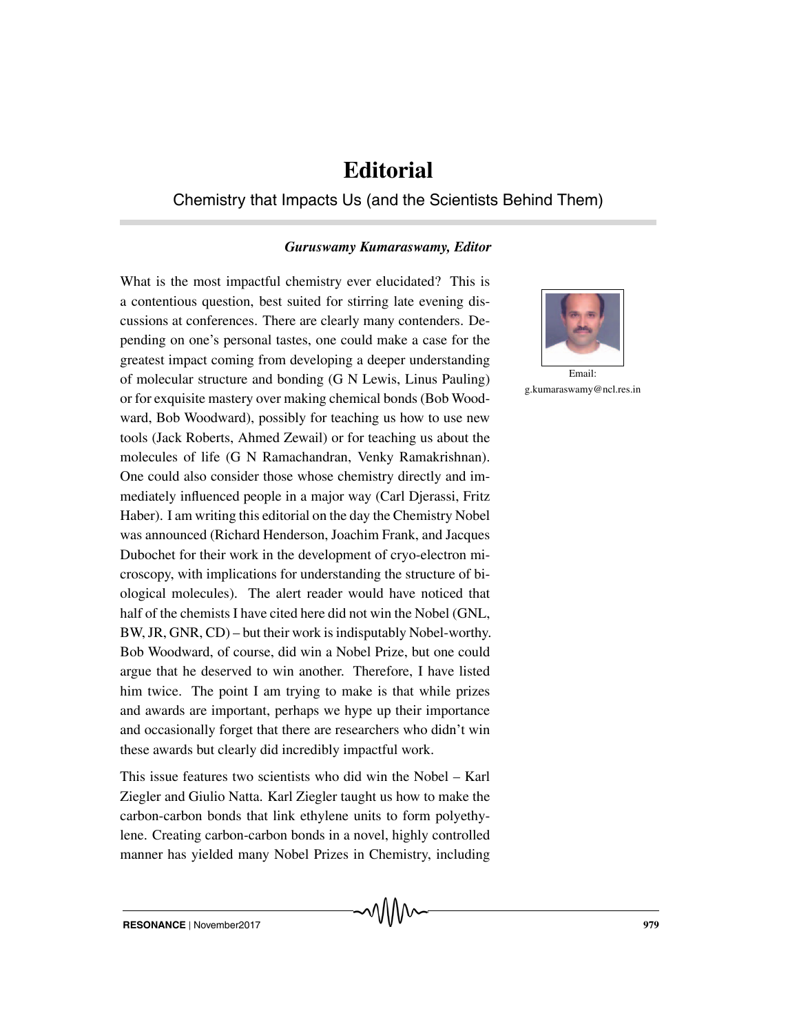## **Editorial**

## Chemistry that Impacts Us (and the Scientists Behind Them)

## *Guruswamy Kumaraswamy, Editor*

What is the most impactful chemistry ever elucidated? This is a contentious question, best suited for stirring late evening discussions at conferences. There are clearly many contenders. Depending on one's personal tastes, one could make a case for the greatest impact coming from developing a deeper understanding of molecular structure and bonding (G N Lewis, Linus Pauling) or for exquisite mastery over making chemical bonds (Bob Woodward, Bob Woodward), possibly for teaching us how to use new tools (Jack Roberts, Ahmed Zewail) or for teaching us about the molecules of life (G N Ramachandran, Venky Ramakrishnan). One could also consider those whose chemistry directly and immediately influenced people in a major way (Carl Djerassi, Fritz Haber). I am writing this editorial on the day the Chemistry Nobel was announced (Richard Henderson, Joachim Frank, and Jacques Dubochet for their work in the development of cryo-electron microscopy, with implications for understanding the structure of biological molecules). The alert reader would have noticed that half of the chemists I have cited here did not win the Nobel (GNL, BW, JR, GNR, CD) – but their work is indisputably Nobel-worthy. Bob Woodward, of course, did win a Nobel Prize, but one could argue that he deserved to win another. Therefore, I have listed him twice. The point I am trying to make is that while prizes and awards are important, perhaps we hype up their importance and occasionally forget that there are researchers who didn't win these awards but clearly did incredibly impactful work.

This issue features two scientists who did win the Nobel – Karl Ziegler and Giulio Natta. Karl Ziegler taught us how to make the carbon-carbon bonds that link ethylene units to form polyethylene. Creating carbon-carbon bonds in a novel, highly controlled manner has yielded many Nobel Prizes in Chemistry, including



Email: g.kumaraswamy@ncl.res.in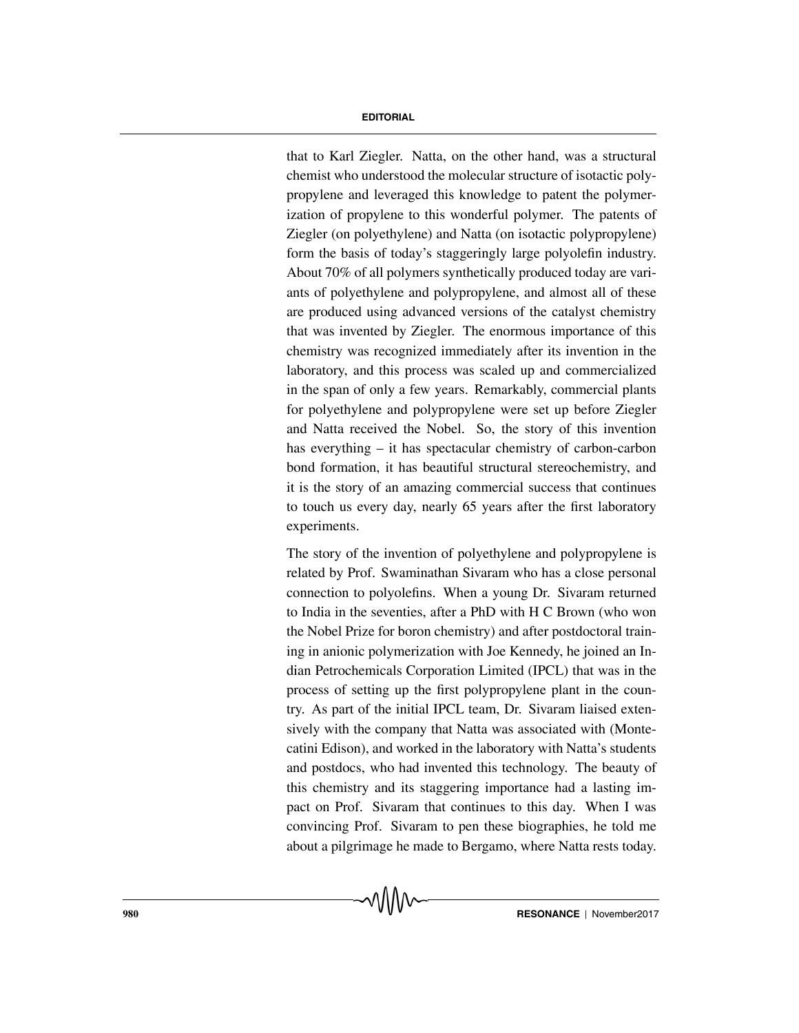## **EDITORIAL**

that to Karl Ziegler. Natta, on the other hand, was a structural chemist who understood the molecular structure of isotactic polypropylene and leveraged this knowledge to patent the polymerization of propylene to this wonderful polymer. The patents of Ziegler (on polyethylene) and Natta (on isotactic polypropylene) form the basis of today's staggeringly large polyolefin industry. About 70% of all polymers synthetically produced today are variants of polyethylene and polypropylene, and almost all of these are produced using advanced versions of the catalyst chemistry that was invented by Ziegler. The enormous importance of this chemistry was recognized immediately after its invention in the laboratory, and this process was scaled up and commercialized in the span of only a few years. Remarkably, commercial plants for polyethylene and polypropylene were set up before Ziegler and Natta received the Nobel. So, the story of this invention has everything – it has spectacular chemistry of carbon-carbon bond formation, it has beautiful structural stereochemistry, and it is the story of an amazing commercial success that continues to touch us every day, nearly 65 years after the first laboratory experiments.

The story of the invention of polyethylene and polypropylene is related by Prof. Swaminathan Sivaram who has a close personal connection to polyolefins. When a young Dr. Sivaram returned to India in the seventies, after a PhD with H C Brown (who won the Nobel Prize for boron chemistry) and after postdoctoral training in anionic polymerization with Joe Kennedy, he joined an Indian Petrochemicals Corporation Limited (IPCL) that was in the process of setting up the first polypropylene plant in the country. As part of the initial IPCL team, Dr. Sivaram liaised extensively with the company that Natta was associated with (Montecatini Edison), and worked in the laboratory with Natta's students and postdocs, who had invented this technology. The beauty of this chemistry and its staggering importance had a lasting impact on Prof. Sivaram that continues to this day. When I was convincing Prof. Sivaram to pen these biographies, he told me about a pilgrimage he made to Bergamo, where Natta rests today.